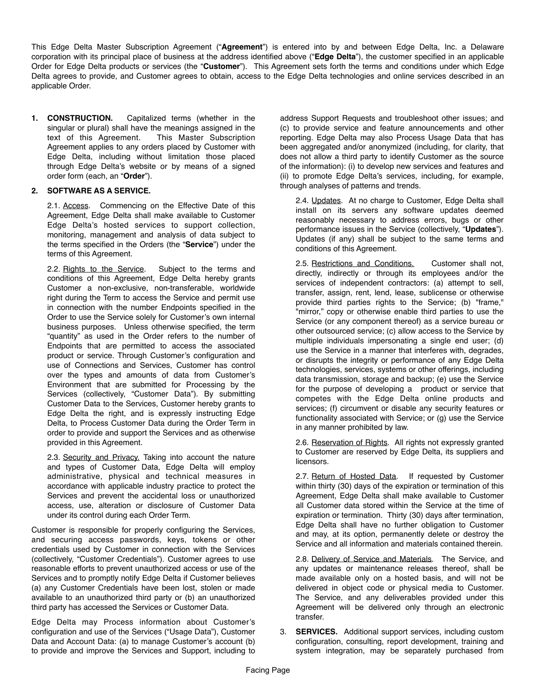This Edge Delta Master Subscription Agreement ("**Agreement**") is entered into by and between Edge Delta, Inc. a Delaware corporation with its principal place of business at the address identified above ("**Edge Delta**"), the customer specified in an applicable Order for Edge Delta products or services (the "**Customer**"). This Agreement sets forth the terms and conditions under which Edge Delta agrees to provide, and Customer agrees to obtain, access to the Edge Delta technologies and online services described in an applicable Order.

**1. CONSTRUCTION.** Capitalized terms (whether in the singular or plural) shall have the meanings assigned in the text of this Agreement. This Master Subscription Agreement applies to any orders placed by Customer with Edge Delta, including without limitation those placed through Edge Delta's website or by means of a signed order form (each, an "**Order**").

## **2. SOFTWARE AS A SERVICE.**

2.1. Access. Commencing on the Effective Date of this Agreement, Edge Delta shall make available to Customer Edge Delta's hosted services to support collection, monitoring, management and analysis of data subject to the terms specified in the Orders (the "**Service**") under the terms of this Agreement.

2.2. Rights to the Service. Subject to the terms and conditions of this Agreement, Edge Delta hereby grants Customer a non-exclusive, non-transferable, worldwide right during the Term to access the Service and permit use in connection with the number Endpoints specified in the Order to use the Service solely for Customer's own internal business purposes. Unless otherwise specified, the term "quantity" as used in the Order refers to the number of Endpoints that are permitted to access the associated product or service. Through Customer's configuration and use of Connections and Services, Customer has control over the types and amounts of data from Customer's Environment that are submitted for Processing by the Services (collectively, "Customer Data"). By submitting Customer Data to the Services, Customer hereby grants to Edge Delta the right, and is expressly instructing Edge Delta, to Process Customer Data during the Order Term in order to provide and support the Services and as otherwise provided in this Agreement.

2.3. Security and Privacy. Taking into account the nature and types of Customer Data, Edge Delta will employ administrative, physical and technical measures in accordance with applicable industry practice to protect the Services and prevent the accidental loss or unauthorized access, use, alteration or disclosure of Customer Data under its control during each Order Term.

Customer is responsible for properly configuring the Services, and securing access passwords, keys, tokens or other credentials used by Customer in connection with the Services (collectively, "Customer Credentials"). Customer agrees to use reasonable efforts to prevent unauthorized access or use of the Services and to promptly notify Edge Delta if Customer believes (a) any Customer Credentials have been lost, stolen or made available to an unauthorized third party or (b) an unauthorized third party has accessed the Services or Customer Data.

Edge Delta may Process information about Customer's configuration and use of the Services ("Usage Data"), Customer Data and Account Data: (a) to manage Customer's account (b) to provide and improve the Services and Support, including to

address Support Requests and troubleshoot other issues; and (c) to provide service and feature announcements and other reporting. Edge Delta may also Process Usage Data that has been aggregated and/or anonymized (including, for clarity, that does not allow a third party to identify Customer as the source of the information): (i) to develop new services and features and (ii) to promote Edge Delta's services, including, for example, through analyses of patterns and trends.

2.4. Updates. At no charge to Customer, Edge Delta shall install on its servers any software updates deemed reasonably necessary to address errors, bugs or other performance issues in the Service (collectively, "**Updates**"). Updates (if any) shall be subject to the same terms and conditions of this Agreement.

2.5. Restrictions and Conditions. Customer shall not, directly, indirectly or through its employees and/or the services of independent contractors: (a) attempt to sell, transfer, assign, rent, lend, lease, sublicense or otherwise provide third parties rights to the Service; (b) "frame," "mirror," copy or otherwise enable third parties to use the Service (or any component thereof) as a service bureau or other outsourced service; (c) allow access to the Service by multiple individuals impersonating a single end user; (d) use the Service in a manner that interferes with, degrades, or disrupts the integrity or performance of any Edge Delta technologies, services, systems or other offerings, including data transmission, storage and backup; (e) use the Service for the purpose of developing a product or service that competes with the Edge Delta online products and services; (f) circumvent or disable any security features or functionality associated with Service; or (g) use the Service in any manner prohibited by law.

2.6. Reservation of Rights. All rights not expressly granted to Customer are reserved by Edge Delta, its suppliers and licensors.

2.7. Return of Hosted Data. If requested by Customer within thirty (30) days of the expiration or termination of this Agreement, Edge Delta shall make available to Customer all Customer data stored within the Service at the time of expiration or termination. Thirty (30) days after termination, Edge Delta shall have no further obligation to Customer and may, at its option, permanently delete or destroy the Service and all information and materials contained therein.

2.8. Delivery of Service and Materials. The Service, and any updates or maintenance releases thereof, shall be made available only on a hosted basis, and will not be delivered in object code or physical media to Customer. The Service, and any deliverables provided under this Agreement will be delivered only through an electronic transfer.

3. **SERVICES.** Additional support services, including custom configuration, consulting, report development, training and system integration, may be separately purchased from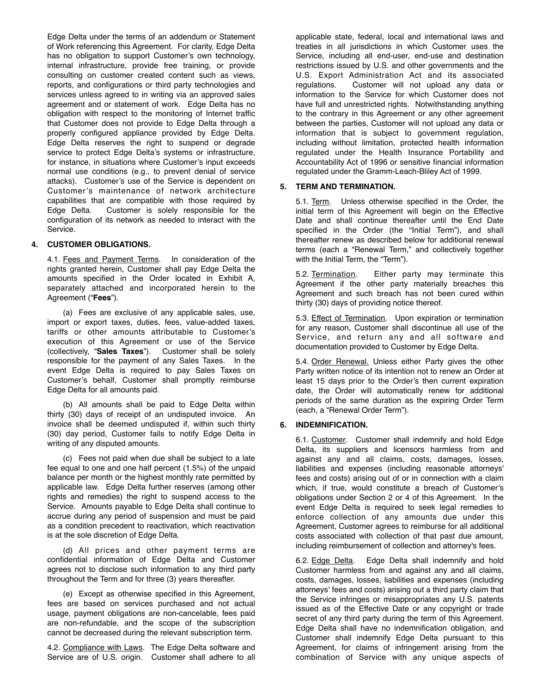Edge Delta under the terms of an addendum or Statement of Work referencing this Agreement. For clarity, Edge Delta has no obligation to support Customer's own technology, internal infrastructure, provide free training, or provide consulting on customer created content such as views, reports, and configurations or third party technologies and services unless agreed to in writing via an approved sales agreement and or statement of work. Edge Delta has no obligation with respect to the monitoring of Internet traffic that Customer does not provide to Edge Delta through a properly configured appliance provided by Edge Delta. Edge Delta reserves the right to suspend or degrade service to protect Edge Delta's systems or infrastructure, for instance, in situations where Customer's input exceeds normal use conditions (e.g., to prevent denial of service attacks). Customer's use of the Service is dependent on Customer's maintenance of network architecture capabilities that are compatible with those required by Edge Delta. Customer is solely responsible for the configuration of its network as needed to interact with the Service.

### **4. CUSTOMER OBLIGATIONS.**

4.1. Fees and Payment Terms. In consideration of the rights granted herein, Customer shall pay Edge Delta the amounts specified in the Order located in Exhibit A, separately attached and incorporated herein to the Agreement ("**Fees**").

(a) Fees are exclusive of any applicable sales, use, import or export taxes, duties, fees, value-added taxes, tariffs or other amounts attributable to Customer's execution of this Agreement or use of the Service (collectively, "**Sales Taxes**"). Customer shall be solely responsible for the payment of any Sales Taxes. In the event Edge Delta is required to pay Sales Taxes on Customer's behalf, Customer shall promptly reimburse Edge Delta for all amounts paid.

(b) All amounts shall be paid to Edge Delta within thirty (30) days of receipt of an undisputed invoice. An invoice shall be deemed undisputed if, within such thirty (30) day period, Customer fails to notify Edge Delta in writing of any disputed amounts.

(c) Fees not paid when due shall be subject to a late fee equal to one and one half percent (1.5%) of the unpaid balance per month or the highest monthly rate permitted by applicable law. Edge Delta further reserves (among other rights and remedies) the right to suspend access to the Service. Amounts payable to Edge Delta shall continue to accrue during any period of suspension and must be paid as a condition precedent to reactivation, which reactivation is at the sole discretion of Edge Delta.

(d) All prices and other payment terms are confidential information of Edge Delta and Customer agrees not to disclose such information to any third party throughout the Term and for three (3) years thereafter.

(e) Except as otherwise specified in this Agreement, fees are based on services purchased and not actual usage, payment obligations are non-cancelable, fees paid are non-refundable, and the scope of the subscription cannot be decreased during the relevant subscription term.

4.2. Compliance with Laws. The Edge Delta software and Service are of U.S. origin. Customer shall adhere to all

applicable state, federal, local and international laws and treaties in all jurisdictions in which Customer uses the Service, including all end-user, end-use and destination restrictions issued by U.S. and other governments and the U.S. Export Administration Act and its associated regulations. Customer will not upload any data or Customer will not upload any data or information to the Service for which Customer does not have full and unrestricted rights. Notwithstanding anything to the contrary in this Agreement or any other agreement between the parties, Customer will not upload any data or information that is subject to government regulation, including without limitation, protected health information regulated under the Health Insurance Portability and Accountability Act of 1996 or sensitive financial information regulated under the Gramm-Leach-Bliley Act of 1999.

### **5. TERM AND TERMINATION.**

5.1. Term. Unless otherwise specified in the Order, the initial term of this Agreement will begin on the Effective Date and shall continue thereafter until the End Date specified in the Order (the "Initial Term"), and shall thereafter renew as described below for additional renewal terms (each a "Renewal Term," and collectively together with the Initial Term, the "Term").

5.2. Termination. Either party may terminate this Agreement if the other party materially breaches this Agreement and such breach has not been cured within thirty (30) days of providing notice thereof.

5.3. Effect of Termination. Upon expiration or termination for any reason, Customer shall discontinue all use of the Service, and return any and all software and documentation provided to Customer by Edge Delta.

5.4. Order Renewal. Unless either Party gives the other Party written notice of its intention not to renew an Order at least 15 days prior to the Order's then current expiration date, the Order will automatically renew for additional periods of the same duration as the expiring Order Term (each, a "Renewal Order Term").

# **6. INDEMNIFICATION.**

6.1. Customer. Customer shall indemnify and hold Edge Delta, its suppliers and licensors harmless from and against any and all claims, costs, damages, losses, liabilities and expenses (including reasonable attorneys' fees and costs) arising out of or in connection with a claim which, if true, would constitute a breach of Customer's obligations under Section 2 or 4 of this Agreement. In the event Edge Delta is required to seek legal remedies to enforce collection of any amounts due under this Agreement, Customer agrees to reimburse for all additional costs associated with collection of that past due amount, including reimbursement of collection and attorney's fees.

6.2. Edge Delta. Edge Delta shall indemnify and hold Customer harmless from and against any and all claims, costs, damages, losses, liabilities and expenses (including attorneys' fees and costs) arising out a third party claim that the Service infringes or misappropriates any U.S. patents issued as of the Effective Date or any copyright or trade secret of any third party during the term of this Agreement. Edge Delta shall have no indemnification obligation, and Customer shall indemnify Edge Delta pursuant to this Agreement, for claims of infringement arising from the combination of Service with any unique aspects of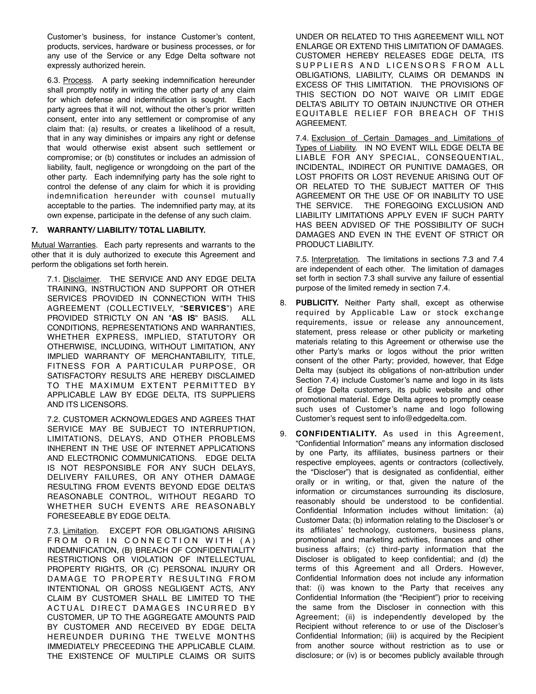Customer's business, for instance Customer's content, products, services, hardware or business processes, or for any use of the Service or any Edge Delta software not expressly authorized herein.

6.3. Process. A party seeking indemnification hereunder shall promptly notify in writing the other party of any claim for which defense and indemnification is sought. Each party agrees that it will not, without the other's prior written consent, enter into any settlement or compromise of any claim that: (a) results, or creates a likelihood of a result, that in any way diminishes or impairs any right or defense that would otherwise exist absent such settlement or compromise; or (b) constitutes or includes an admission of liability, fault, negligence or wrongdoing on the part of the other party. Each indemnifying party has the sole right to control the defense of any claim for which it is providing indemnification hereunder with counsel mutually acceptable to the parties. The indemnified party may, at its own expense, participate in the defense of any such claim.

# **7. WARRANTY/ LIABILITY/ TOTAL LIABILITY.**

Mutual Warranties. Each party represents and warrants to the other that it is duly authorized to execute this Agreement and perform the obligations set forth herein.

7.1. Disclaimer. THE SERVICE AND ANY EDGE DELTA TRAINING, INSTRUCTION AND SUPPORT OR OTHER SERVICES PROVIDED IN CONNECTION WITH THIS AGREEMENT (COLLECTIVELY, "**SERVICES**") ARE PROVIDED STRICTLY ON AN "**AS IS**" BASIS. ALL CONDITIONS, REPRESENTATIONS AND WARRANTIES, WHETHER EXPRESS, IMPLIED, STATUTORY OR OTHERWISE, INCLUDING, WITHOUT LIMITATION, ANY IMPLIED WARRANTY OF MERCHANTABILITY, TITLE, FITNESS FOR A PARTICULAR PURPOSE, OR SATISFACTORY RESULTS ARE HEREBY DISCLAIMED TO THE MAXIMUM EXTENT PERMITTED BY APPLICABLE LAW BY EDGE DELTA, ITS SUPPLIERS AND ITS LICENSORS.

7.2. CUSTOMER ACKNOWLEDGES AND AGREES THAT SERVICE MAY BE SUBJECT TO INTERRUPTION, LIMITATIONS, DELAYS, AND OTHER PROBLEMS INHERENT IN THE USE OF INTERNET APPLICATIONS AND ELECTRONIC COMMUNICATIONS. EDGE DELTA IS NOT RESPONSIBLE FOR ANY SUCH DELAYS, DELIVERY FAILURES, OR ANY OTHER DAMAGE RESULTING FROM EVENTS BEYOND EDGE DELTA'S REASONABLE CONTROL, WITHOUT REGARD TO WHETHER SUCH EVENTS ARE REASONABLY FORESEEABLE BY EDGE DELTA.

7.3. Limitation. EXCEPT FOR OBLIGATIONS ARISING FROM OR IN CONNECTION WITH (A) INDEMNIFICATION, (B) BREACH OF CONFIDENTIALITY RESTRICTIONS OR VIOLATION OF INTELLECTUAL PROPERTY RIGHTS, OR (C) PERSONAL INJURY OR DAMAGE TO PROPERTY RESULTING FROM INTENTIONAL OR GROSS NEGLIGENT ACTS, ANY CLAIM BY CUSTOMER SHALL BE LIMITED TO THE ACTUAL DIRECT DAMAGES INCURRED BY CUSTOMER, UP TO THE AGGREGATE AMOUNTS PAID BY CUSTOMER AND RECEIVED BY EDGE DELTA HEREUNDER DURING THE TWELVE MONTHS IMMEDIATELY PRECEEDING THE APPLICABLE CLAIM. THE EXISTENCE OF MULTIPLE CLAIMS OR SUITS

UNDER OR RELATED TO THIS AGREEMENT WILL NOT ENLARGE OR EXTEND THIS LIMITATION OF DAMAGES. CUSTOMER HEREBY RELEASES EDGE DELTA, ITS SUPPLIERS AND LICENSORS FROM ALL OBLIGATIONS, LIABILITY, CLAIMS OR DEMANDS IN EXCESS OF THIS LIMITATION. THE PROVISIONS OF THIS SECTION DO NOT WAIVE OR LIMIT EDGE DELTA'S ABILITY TO OBTAIN INJUNCTIVE OR OTHER EQUITABLE RELIEF FOR BREACH OF THIS AGREEMENT.

7.4. Exclusion of Certain Damages and Limitations of Types of Liability. IN NO EVENT WILL EDGE DELTA BE LIABLE FOR ANY SPECIAL, CONSEQUENTIAL, INCIDENTAL, INDIRECT OR PUNITIVE DAMAGES, OR LOST PROFITS OR LOST REVENUE ARISING OUT OF OR RELATED TO THE SUBJECT MATTER OF THIS AGREEMENT OR THE USE OF OR INABILITY TO USE THE SERVICE. THE FOREGOING EXCLUSION AND LIABILITY LIMITATIONS APPLY EVEN IF SUCH PARTY HAS BEEN ADVISED OF THE POSSIBILITY OF SUCH DAMAGES AND EVEN IN THE EVENT OF STRICT OR PRODUCT LIABILITY.

7.5. Interpretation. The limitations in sections 7.3 and 7.4 are independent of each other. The limitation of damages set forth in section 7.3 shall survive any failure of essential purpose of the limited remedy in section 7.4.

- 8. **PUBLICITY.** Neither Party shall, except as otherwise required by Applicable Law or stock exchange requirements, issue or release any announcement, statement, press release or other publicity or marketing materials relating to this Agreement or otherwise use the other Party's marks or logos without the prior written consent of the other Party; provided, however, that Edge Delta may (subject its obligations of non-attribution under Section 7.4) include Customer's name and logo in its lists of Edge Delta customers, its public website and other promotional material. Edge Delta agrees to promptly cease such uses of Customer's name and logo following Customer's request sent to info@edgedelta.com.
- 9. **CONFIDENTIALITY.** As used in this Agreement, "Confidential Information" means any information disclosed by one Party, its affiliates, business partners or their respective employees, agents or contractors (collectively, the "Discloser") that is designated as confidential, either orally or in writing, or that, given the nature of the information or circumstances surrounding its disclosure, reasonably should be understood to be confidential. Confidential Information includes without limitation: (a) Customer Data; (b) information relating to the Discloser's or its affiliates' technology, customers, business plans, promotional and marketing activities, finances and other business affairs; (c) third-party information that the Discloser is obligated to keep confidential; and (d) the terms of this Agreement and all Orders. However, Confidential Information does not include any information that: (i) was known to the Party that receives any Confidential Information (the "Recipient") prior to receiving the same from the Discloser in connection with this Agreement; (ii) is independently developed by the Recipient without reference to or use of the Discloser's Confidential Information; (iii) is acquired by the Recipient from another source without restriction as to use or disclosure; or (iv) is or becomes publicly available through